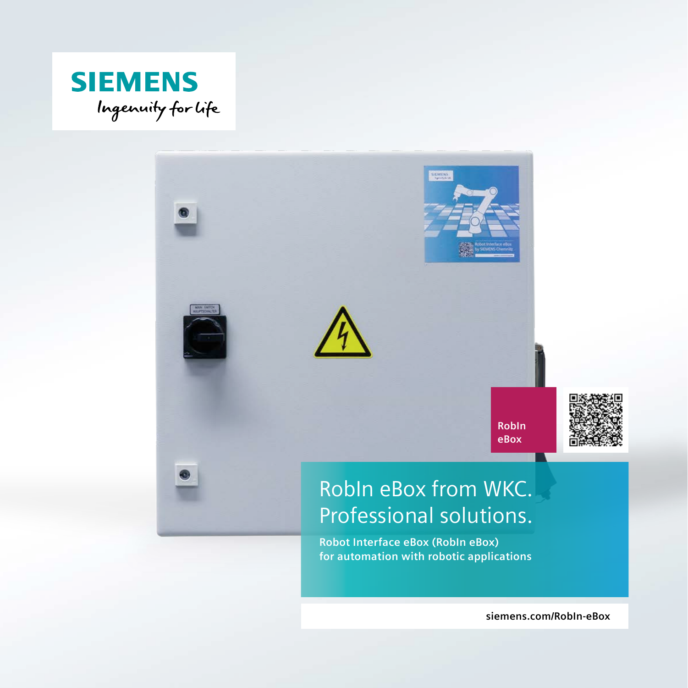



**siemens.com/RobIn-eBox**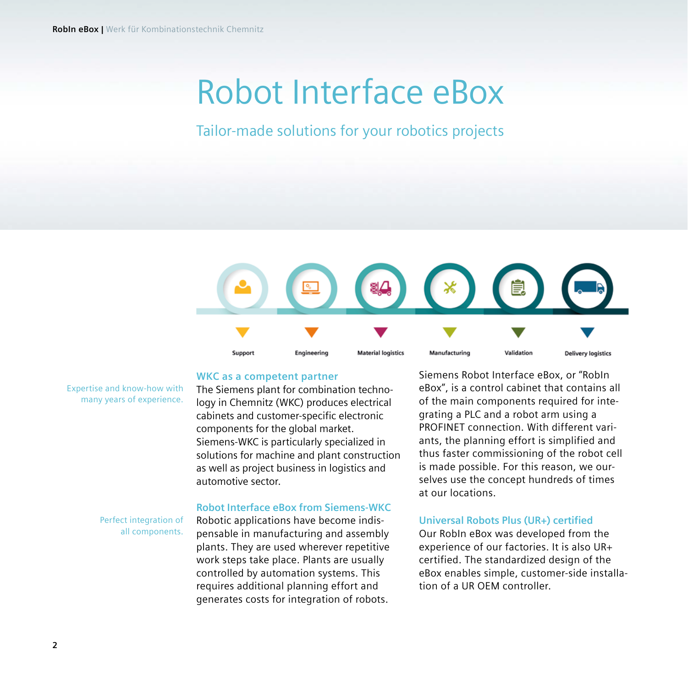# Robot Interface eBox

### Tailor-made solutions for your robotics projects



#### **WKC as a competent partner**

The Siemens plant for combination technology in Chemnitz (WKC) produces electrical cabinets and customer-specific electronic components for the global market. Siemens-WKC is particularly specialized in solutions for machine and plant construction as well as project business in logistics and automotive sector.

#### **Robot Interface eBox from Siemens-WKC**

Perfect integration of all components.

Expertise and know-how with many years of experience.

> Robotic applications have become indispensable in manufacturing and assembly plants. They are used wherever repetitive work steps take place. Plants are usually controlled by automation systems. This requires additional planning effort and generates costs for integration of robots.

Siemens Robot Interface eBox, or "RobIn eBox", is a control cabinet that contains all of the main components required for integrating a PLC and a robot arm using a PROFINET connection. With different variants, the planning effort is simplified and thus faster commissioning of the robot cell is made possible. For this reason, we ourselves use the concept hundreds of times at our locations.

#### **Universal Robots Plus (UR+) certified**

Our RobIn eBox was developed from the experience of our factories. It is also UR+ certified. The standardized design of the eBox enables simple, customer-side installation of a UR OEM controller.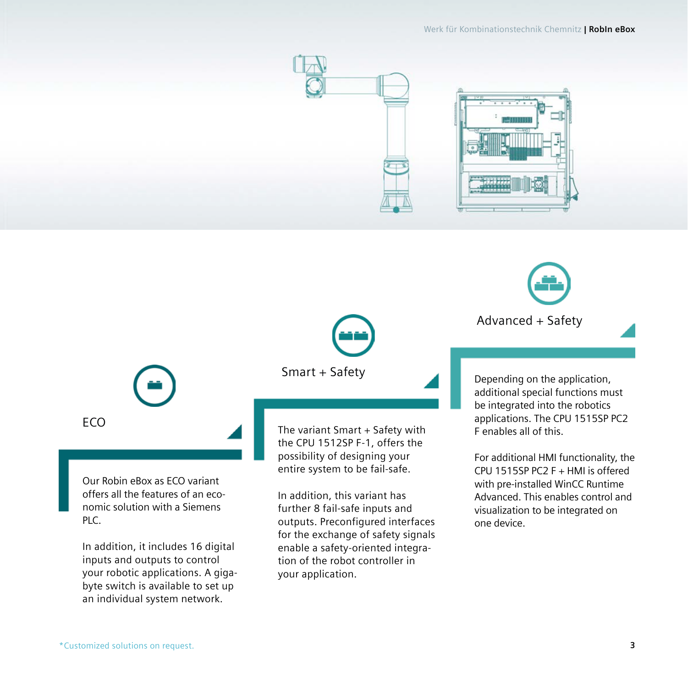

Advanced + Safety

**FCO** 

Our Robin eBox as ECO variant offers all the features of an economic solution with a Siemens PLC.

In addition, it includes 16 digital inputs and outputs to control your robotic applications. A gigabyte switch is available to set up an individual system network.

Smart + Safety

The variant Smart + Safety with the CPU 1512SP F-1, offers the possibility of designing your entire system to be fail-safe.

In addition, this variant has further 8 fail-safe inputs and outputs. Preconfigured interfaces for the exchange of safety signals enable a safety-oriented integration of the robot controller in your application.

Depending on the application, additional special functions must be integrated into the robotics applications. The CPU 1515SP PC2 F enables all of this.

For additional HMI functionality, the CPU 1515SP PC2 F + HMI is offered with pre-installed WinCC Runtime Advanced. This enables control and visualization to be integrated on one device.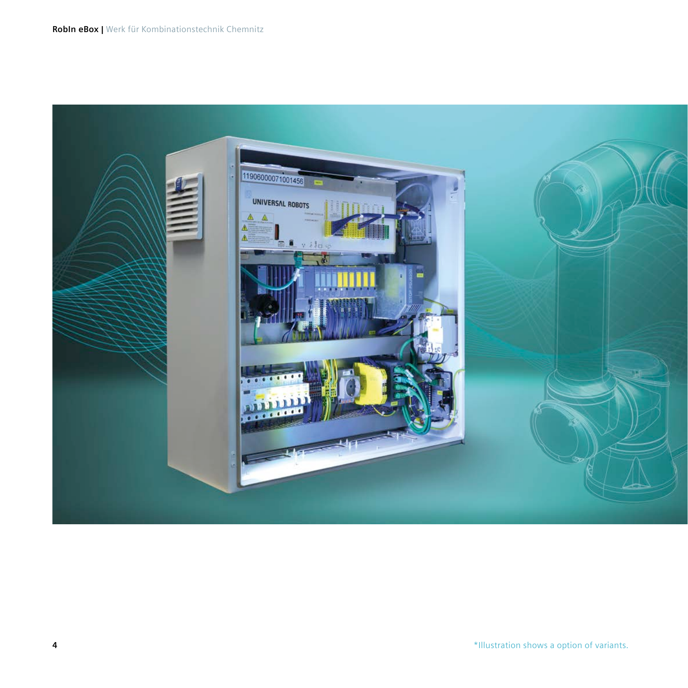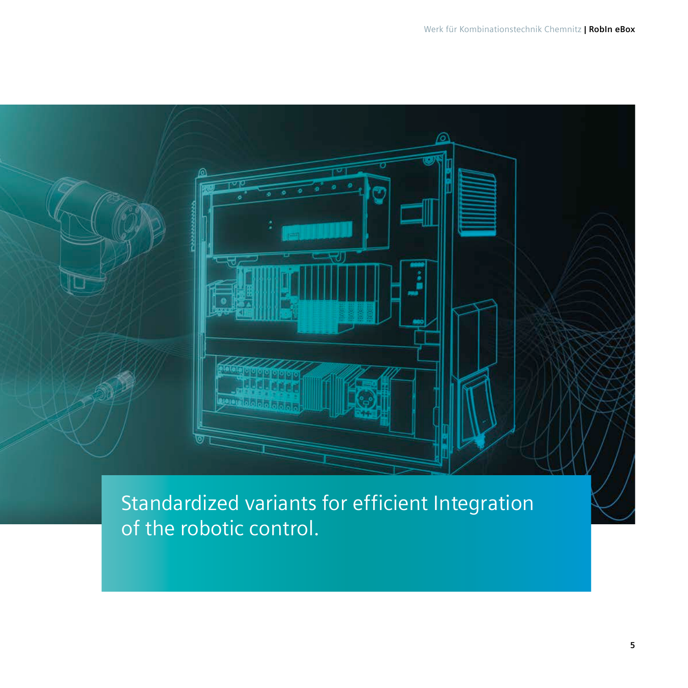

Standardized variants for efficient Integration of the robotic control.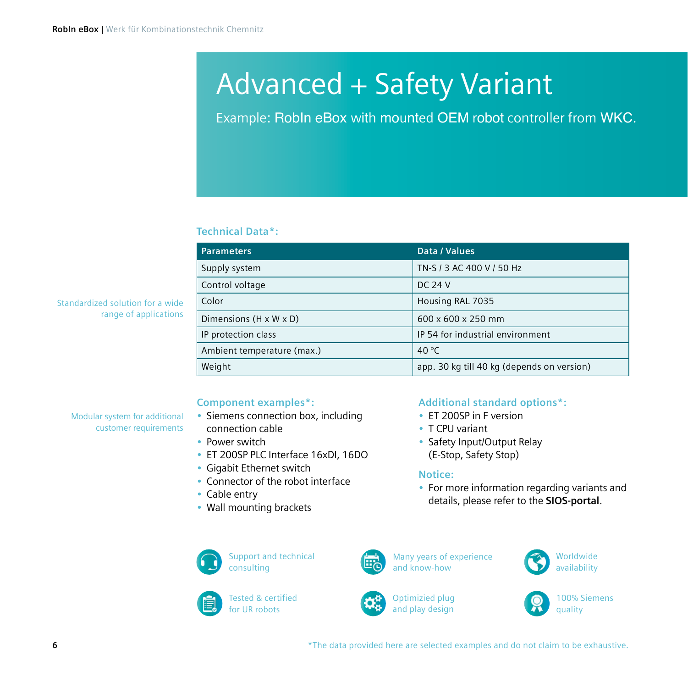## Advanced + Safety Variant

Example: RobIn eBox with mounted OEM robot controller from WKC.

#### **Technical Data\*:**

| <b>Parameters</b>                  | Data / Values                              |
|------------------------------------|--------------------------------------------|
| Supply system                      | TN-S / 3 AC 400 V / 50 Hz                  |
| Control voltage                    | DC 24 V                                    |
| Color                              | Housing RAL 7035                           |
| Dimensions $(H \times W \times D)$ | 600 x 600 x 250 mm                         |
| IP protection class                | IP 54 for industrial environment           |
| Ambient temperature (max.)         | 40 $\degree$ C                             |
| Weight                             | app. 30 kg till 40 kg (depends on version) |

Standardized solution for a wide range of applications

> Modular system for additional customer requirements

#### **Component examples\*:**

- Siemens connection box, including connection cable
	- Power switch
	- ET 200SP PLC Interface 16xDI, 16DO
	- Gigabit Ethernet switch
	- Connector of the robot interface
	- Cable entry
	- Wall mounting brackets



Support and technical consulting



Tested & certified for UR robots



Many years of experience and know-how

**Notice:**

Optimizied plug and play design





100% Siemens



**Additional standard options\*:**

• For more information regarding variants and details, please refer to the **[SIOS-portal](https://support.industry.siemens.com/cs/document/109782794/simatic%3A-robin-ebox-%E2%80%93-robot-interface-control-box-for-ur-robot?dti=0&lc=en-WW)**.

• ET 200SP in F version • T CPU variant

• Safety Input/Output Relay (E-Stop, Safety Stop)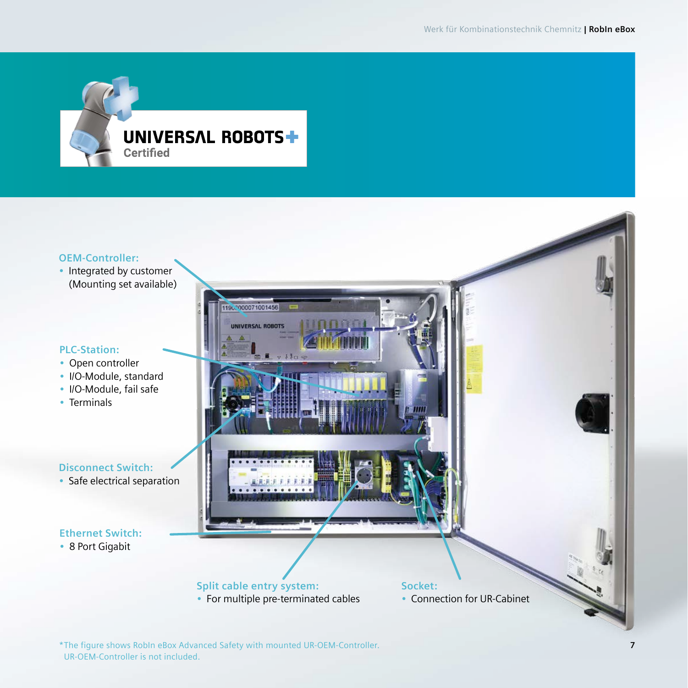

#### **OEM-Controller:**

• Integrated by customer (Mounting set available)

#### **PLC-Station:**

- Open controller
- I/O-Module, standard
- I/O-Module, fail safe
- Terminals

#### **Disconnect Switch:**

• Safe electrical separation

#### **Ethernet Switch:**

• 8 Port Gigabit



#### \*The figure shows RobIn eBox Advanced Safety with mounted UR-OEM-Controller. UR-OEM-Controller is not included.